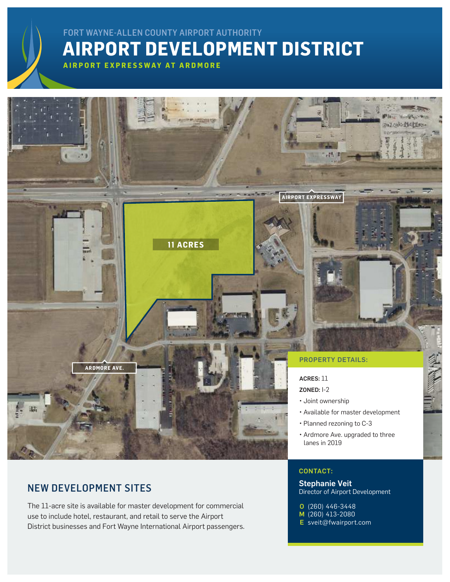## **AIRPORT DEVELOPMENT DISTRICT** FORT WAYNE-ALLEN COUNTY AIRPORT AUTHORITY

**AIRPORT EXPRESSWAY AT ARDMORE**



### NEW DEVELOPMENT SITES

The 11-acre site is available for master development for commercial use to include hotel, restaurant, and retail to serve the Airport District businesses and Fort Wayne International Airport passengers. CONTACT:

### Stephanie Veit Director of Airport Development

(260) 446-3448 (260) 413-2080 O M

E [sveit@fwairport.com](mailto:sveit%40fwairport.com?subject=)